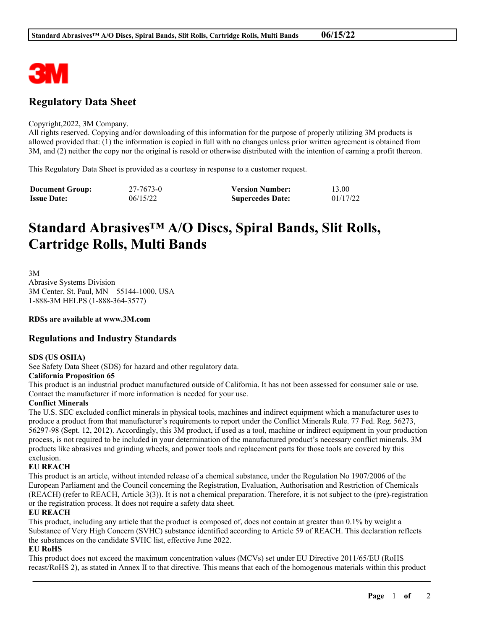

# **Regulatory Data Sheet**

#### Copyright,2022, 3M Company.

All rights reserved. Copying and/or downloading of this information for the purpose of properly utilizing 3M products is allowed provided that: (1) the information is copied in full with no changes unless prior written agreement is obtained from 3M, and (2) neither the copy nor the original is resold or otherwise distributed with the intention of earning a profit thereon.

This Regulatory Data Sheet is provided as a courtesy in response to a customer request.

| <b>Document Group:</b> | 27-7673-0 | <b>Version Number:</b>  | 13.00    |
|------------------------|-----------|-------------------------|----------|
| <b>Issue Date:</b>     | 06/15/22  | <b>Supercedes Date:</b> | 01/17/22 |

# **Standard Abrasives™ A/O Discs, Spiral Bands, Slit Rolls, Cartridge Rolls, Multi Bands**

3M Abrasive Systems Division 3M Center, St. Paul, MN 55144-1000, USA 1-888-3M HELPS (1-888-364-3577)

**RDSs are available at www.3M.com**

# **Regulations and Industry Standards**

### **SDS (US OSHA)**

See Safety Data Sheet (SDS) for hazard and other regulatory data.

### **California Proposition 65**

This product is an industrial product manufactured outside of California. It has not been assessed for consumer sale or use. Contact the manufacturer if more information is needed for your use.

### **Conflict Minerals**

The U.S. SEC excluded conflict minerals in physical tools, machines and indirect equipment which a manufacturer uses to produce a product from that manufacturer's requirements to report under the Conflict Minerals Rule. 77 Fed. Reg. 56273, 56297-98 (Sept. 12, 2012). Accordingly, this 3M product, if used as a tool, machine or indirect equipment in your production process, is not required to be included in your determination of the manufactured product's necessary conflict minerals. 3M products like abrasives and grinding wheels, and power tools and replacement parts for those tools are covered by this exclusion.

### **EU REACH**

This product is an article, without intended release of a chemical substance, under the Regulation No 1907/2006 of the European Parliament and the Council concerning the Registration, Evaluation, Authorisation and Restriction of Chemicals (REACH) (refer to REACH, Article 3(3)). It is not a chemical preparation. Therefore, it is not subject to the (pre)-registration or the registration process. It does not require a safety data sheet.

### **EU REACH**

This product, including any article that the product is composed of, does not contain at greater than 0.1% by weight a Substance of Very High Concern (SVHC) substance identified according to Article 59 of REACH. This declaration reflects the substances on the candidate SVHC list, effective June 2022.

### **EU RoHS**

This product does not exceed the maximum concentration values (MCVs) set under EU Directive 2011/65/EU (RoHS recast/RoHS 2), as stated in Annex II to that directive. This means that each of the homogenous materials within this product

\_\_\_\_\_\_\_\_\_\_\_\_\_\_\_\_\_\_\_\_\_\_\_\_\_\_\_\_\_\_\_\_\_\_\_\_\_\_\_\_\_\_\_\_\_\_\_\_\_\_\_\_\_\_\_\_\_\_\_\_\_\_\_\_\_\_\_\_\_\_\_\_\_\_\_\_\_\_\_\_\_\_\_\_\_\_\_\_\_\_